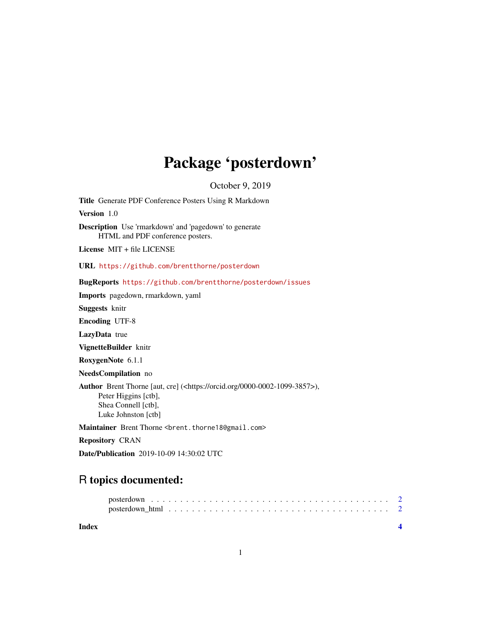# Package 'posterdown'

October 9, 2019

<span id="page-0-0"></span>Title Generate PDF Conference Posters Using R Markdown

Version 1.0

Description Use 'rmarkdown' and 'pagedown' to generate HTML and PDF conference posters.

License MIT + file LICENSE

URL <https://github.com/brentthorne/posterdown>

BugReports <https://github.com/brentthorne/posterdown/issues>

Imports pagedown, rmarkdown, yaml

Suggests knitr

Encoding UTF-8

LazyData true

VignetteBuilder knitr

RoxygenNote 6.1.1

NeedsCompilation no

Author Brent Thorne [aut, cre] (<https://orcid.org/0000-0002-1099-3857>), Peter Higgins [ctb], Shea Connell [ctb], Luke Johnston [ctb]

Maintainer Brent Thorne <br ent.thorne18@gmail.com>

Repository CRAN

Date/Publication 2019-10-09 14:30:02 UTC

# R topics documented:

**Index** [4](#page-3-0)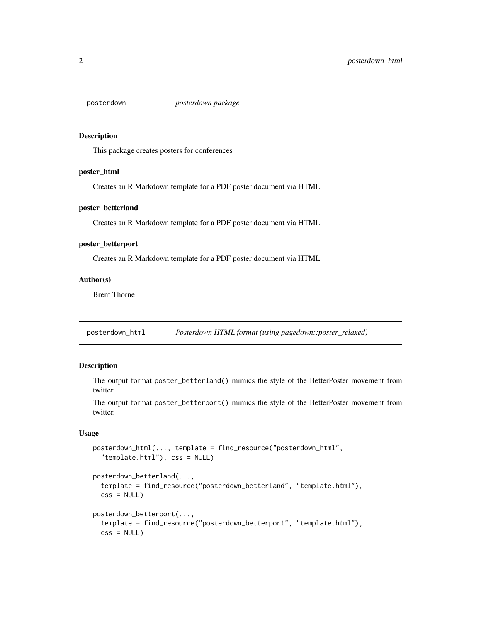<span id="page-1-0"></span>

#### Description

This package creates posters for conferences

#### poster\_html

Creates an R Markdown template for a PDF poster document via HTML

#### poster\_betterland

Creates an R Markdown template for a PDF poster document via HTML

#### poster\_betterport

Creates an R Markdown template for a PDF poster document via HTML

#### Author(s)

Brent Thorne

posterdown\_html *Posterdown HTML format (using pagedown::poster\_relaxed)*

#### Description

The output format poster\_betterland() mimics the style of the BetterPoster movement from twitter.

The output format poster\_betterport() mimics the style of the BetterPoster movement from twitter.

#### Usage

```
posterdown_html(..., template = find_resource("posterdown_html",
  "template.html"), css = NULL)
```

```
posterdown_betterland(...,
  template = find_resource("posterdown_betterland", "template.html"),
  \text{css} = \text{NULL}posterdown_betterport(...,
  template = find_resource("posterdown_betterport", "template.html"),
  \text{css} = \text{NULL}
```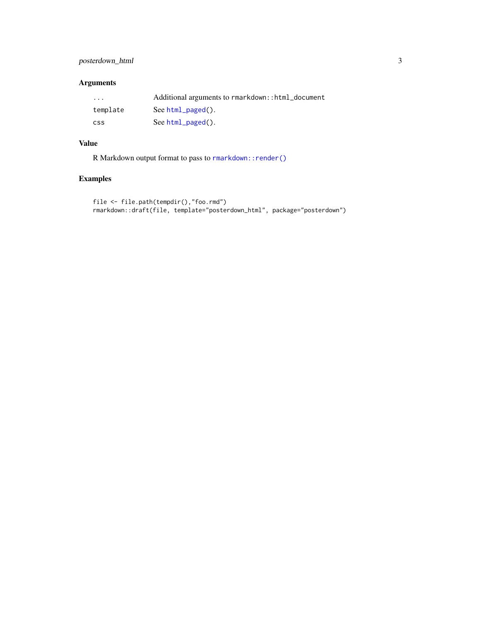#### <span id="page-2-0"></span>posterdown\_html 3

#### Arguments

| $\cdots$   | Additional arguments to rmarkdown::html_document |
|------------|--------------------------------------------------|
| template   | See $html$ $paged()$ .                           |
| <b>CSS</b> | See $html$ $paged()$ .                           |

### Value

R Markdown output format to pass to [rmarkdown::render\(\)](#page-0-0)

## Examples

```
file <- file.path(tempdir(),"foo.rmd")
rmarkdown::draft(file, template="posterdown_html", package="posterdown")
```